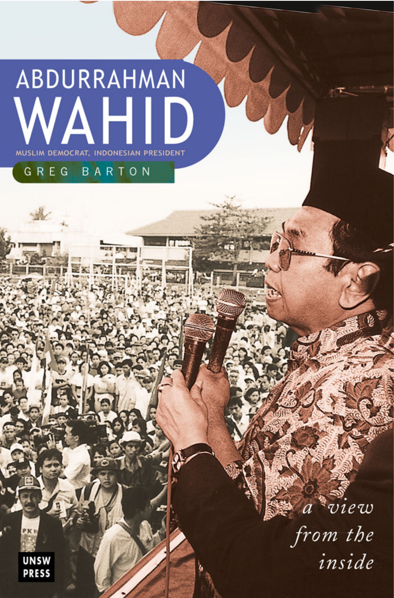# ABDURRAHMAN WAHID

GREG BARTON

### view from the inside

**UNSW PRESS**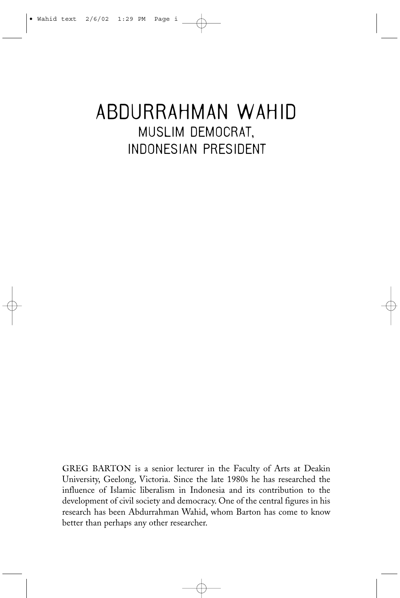## ABDURRAHMAN WAHID MUSLIM DEMOCRAT. INDONESIAN PRESIDENT

GREG BARTON is a senior lecturer in the Faculty of Arts at Deakin University, Geelong, Victoria. Since the late 1980s he has researched the influence of Islamic liberalism in Indonesia and its contribution to the development of civil society and democracy. One of the central figures in his research has been Abdurrahman Wahid, whom Barton has come to know better than perhaps any other researcher.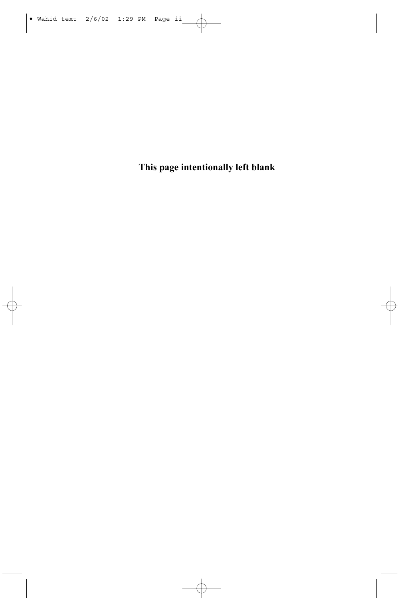**This page intentionally left blank**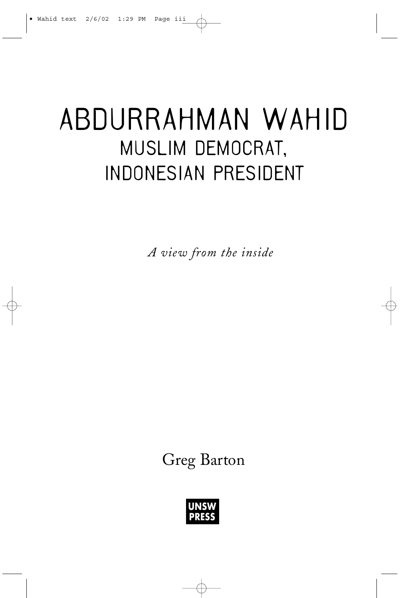## ABDURRAHMAN WAHID MUSLIM DEMOCRAT, INDONESIAN PRESIDENT

*A view from the inside*

Greg Barton

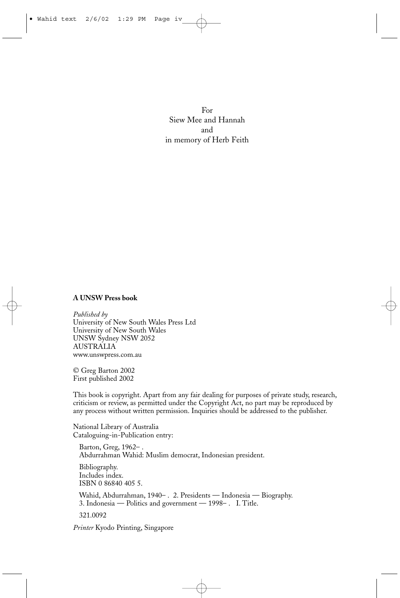For Siew Mee and Hannah and in memory of Herb Feith

#### **A UNSW Press book**

*Published by* University of New South Wales Press Ltd University of New South Wales UNSW Sydney NSW 2052 AUSTRALIA www.unswpress.com.au

© Greg Barton 2002 First published 2002

This book is copyright. Apart from any fair dealing for purposes of private study, research, criticism or review, as permitted under the Copyright Act, no part may be reproduced by any process without written permission. Inquiries should be addressed to the publisher.

National Library of Australia Cataloguing-in-Publication entry:

Barton, Greg, 1962– . Abdurrahman Wahid: Muslim democrat, Indonesian president.

Bibliography. Includes index. ISBN 0 86840 405 5.

Wahid, Abdurrahman, 1940– . 2. Presidents — Indonesia — Biography. 3. Indonesia — Politics and government — 1998– . I. Title.

321.0092

*Printer* Kyodo Printing, Singapore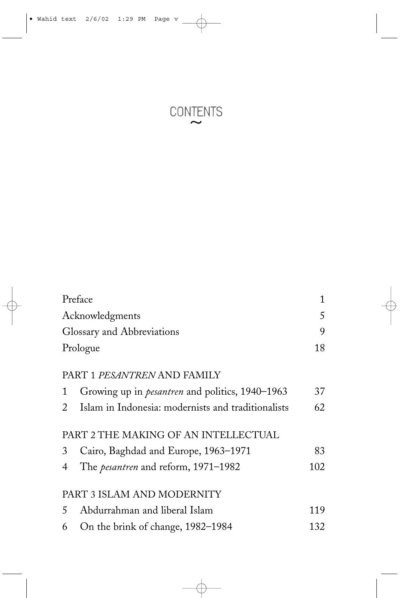## CONTENTS

| Preface                    |                                                        | 1   |
|----------------------------|--------------------------------------------------------|-----|
| Acknowledgments            |                                                        | 5   |
| Glossary and Abbreviations |                                                        | 9   |
| Prologue                   |                                                        | 18  |
|                            | PART 1 PESANTREN AND FAMILY                            |     |
| 1                          | Growing up in <i>pesantren</i> and politics, 1940–1963 | 37  |
| 2                          | Islam in Indonesia: modernists and traditionalists     | 62  |
|                            | PART 2 THE MAKING OF AN INTELLECTUAL                   |     |
| 3                          | Cairo, Baghdad and Europe, 1963–1971                   | 83  |
| 4                          | The <i>pesantren</i> and reform, 1971-1982             | 102 |
|                            | PART 3 ISLAM AND MODERNITY                             |     |
| 5                          | Abdurrahman and liberal Islam                          | 119 |
| 6                          | On the brink of change, 1982–1984                      | 132 |
|                            |                                                        |     |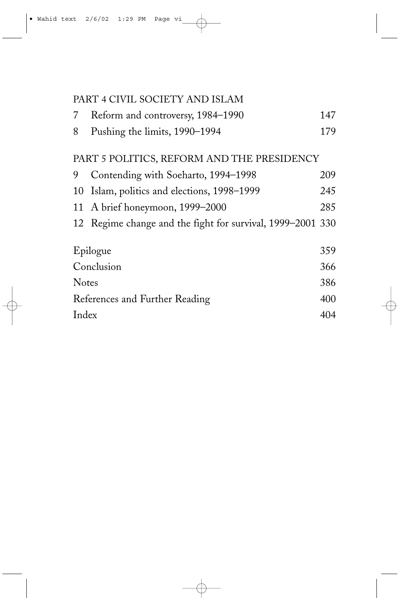|                                | PART 4 CIVIL SOCIETY AND ISLAM                             |     |
|--------------------------------|------------------------------------------------------------|-----|
| $\overline{7}$                 | Reform and controversy, 1984–1990                          | 147 |
| 8                              | Pushing the limits, 1990–1994                              | 179 |
|                                | PART 5 POLITICS, REFORM AND THE PRESIDENCY                 |     |
| 9                              | Contending with Soeharto, 1994–1998                        | 209 |
| 10                             | Islam, politics and elections, 1998-1999                   | 245 |
|                                | 11 A brief honeymoon, 1999–2000                            | 285 |
|                                | 12 Regime change and the fight for survival, 1999–2001 330 |     |
| Epilogue                       |                                                            | 359 |
|                                | Conclusion                                                 |     |
| <b>Notes</b>                   |                                                            | 386 |
| References and Further Reading |                                                            | 400 |
|                                | Index                                                      |     |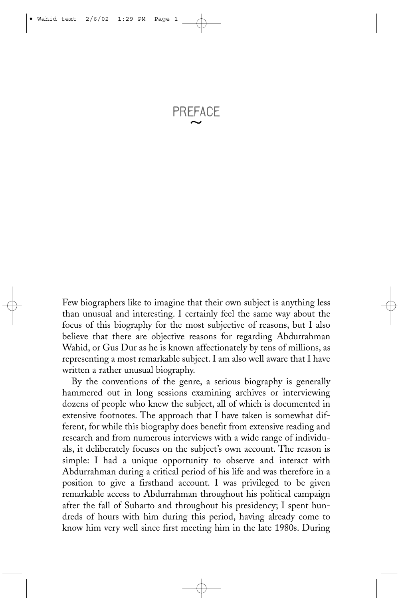

Few biographers like to imagine that their own subject is anything less than unusual and interesting. I certainly feel the same way about the focus of this biography for the most subjective of reasons, but I also believe that there are objective reasons for regarding Abdurrahman Wahid, or Gus Dur as he is known affectionately by tens of millions, as representing a most remarkable subject. I am also well aware that I have written a rather unusual biography.

By the conventions of the genre, a serious biography is generally hammered out in long sessions examining archives or interviewing dozens of people who knew the subject, all of which is documented in extensive footnotes. The approach that I have taken is somewhat different, for while this biography does benefit from extensive reading and research and from numerous interviews with a wide range of individuals, it deliberately focuses on the subject's own account. The reason is simple: I had a unique opportunity to observe and interact with Abdurrahman during a critical period of his life and was therefore in a position to give a firsthand account. I was privileged to be given remarkable access to Abdurrahman throughout his political campaign after the fall of Suharto and throughout his presidency; I spent hundreds of hours with him during this period, having already come to know him very well since first meeting him in the late 1980s. During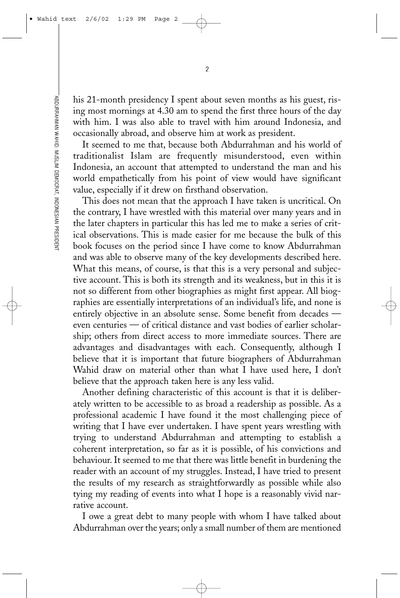his 21-month presidency I spent about seven months as his guest, rising most mornings at 4.30 am to spend the first three hours of the day with him. I was also able to travel with him around Indonesia, and occasionally abroad, and observe him at work as president.

It seemed to me that, because both Abdurrahman and his world of traditionalist Islam are frequently misunderstood, even within Indonesia, an account that attempted to understand the man and his world empathetically from his point of view would have significant value, especially if it drew on firsthand observation.

This does not mean that the approach I have taken is uncritical. On the contrary, I have wrestled with this material over many years and in the later chapters in particular this has led me to make a series of critical observations. This is made easier for me because the bulk of this book focuses on the period since I have come to know Abdurrahman and was able to observe many of the key developments described here. What this means, of course, is that this is a very personal and subjective account. This is both its strength and its weakness, but in this it is not so different from other biographies as might first appear. All biographies are essentially interpretations of an individual's life, and none is entirely objective in an absolute sense. Some benefit from decades even centuries — of critical distance and vast bodies of earlier scholarship; others from direct access to more immediate sources. There are advantages and disadvantages with each. Consequently, although I believe that it is important that future biographers of Abdurrahman Wahid draw on material other than what I have used here, I don't believe that the approach taken here is any less valid.

Another defining characteristic of this account is that it is deliberately written to be accessible to as broad a readership as possible. As a professional academic I have found it the most challenging piece of writing that I have ever undertaken. I have spent years wrestling with trying to understand Abdurrahman and attempting to establish a coherent interpretation, so far as it is possible, of his convictions and behaviour. It seemed to me that there was little benefit in burdening the reader with an account of my struggles. Instead, I have tried to present the results of my research as straightforwardly as possible while also tying my reading of events into what I hope is a reasonably vivid narrative account.

I owe a great debt to many people with whom I have talked about Abdurrahman over the years; only a small number of them are mentioned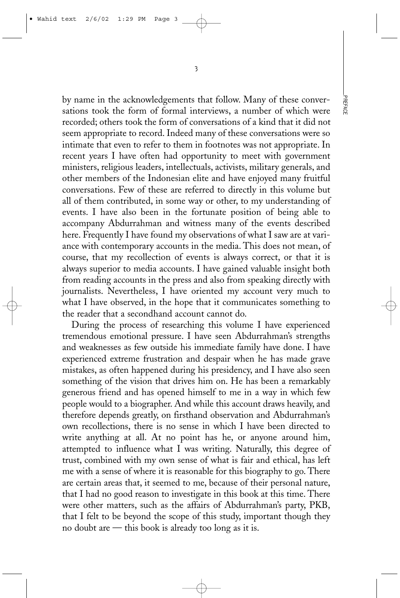PREFACI

by name in the acknowledgements that follow. Many of these conversations took the form of formal interviews, a number of which were recorded; others took the form of conversations of a kind that it did not seem appropriate to record. Indeed many of these conversations were so intimate that even to refer to them in footnotes was not appropriate. In recent years I have often had opportunity to meet with government ministers, religious leaders, intellectuals, activists, military generals, and other members of the Indonesian elite and have enjoyed many fruitful conversations. Few of these are referred to directly in this volume but all of them contributed, in some way or other, to my understanding of events. I have also been in the fortunate position of being able to accompany Abdurrahman and witness many of the events described here. Frequently I have found my observations of what I saw are at variance with contemporary accounts in the media. This does not mean, of course, that my recollection of events is always correct, or that it is always superior to media accounts. I have gained valuable insight both from reading accounts in the press and also from speaking directly with journalists. Nevertheless, I have oriented my account very much to what I have observed, in the hope that it communicates something to the reader that a secondhand account cannot do.

During the process of researching this volume I have experienced tremendous emotional pressure. I have seen Abdurrahman's strengths and weaknesses as few outside his immediate family have done. I have experienced extreme frustration and despair when he has made grave mistakes, as often happened during his presidency, and I have also seen something of the vision that drives him on. He has been a remarkably generous friend and has opened himself to me in a way in which few people would to a biographer. And while this account draws heavily, and therefore depends greatly, on firsthand observation and Abdurrahman's own recollections, there is no sense in which I have been directed to write anything at all. At no point has he, or anyone around him, attempted to influence what I was writing. Naturally, this degree of trust, combined with my own sense of what is fair and ethical, has left me with a sense of where it is reasonable for this biography to go. There are certain areas that, it seemed to me, because of their personal nature, that I had no good reason to investigate in this book at this time. There were other matters, such as the affairs of Abdurrahman's party, PKB, that I felt to be beyond the scope of this study, important though they no doubt are — this book is already too long as it is.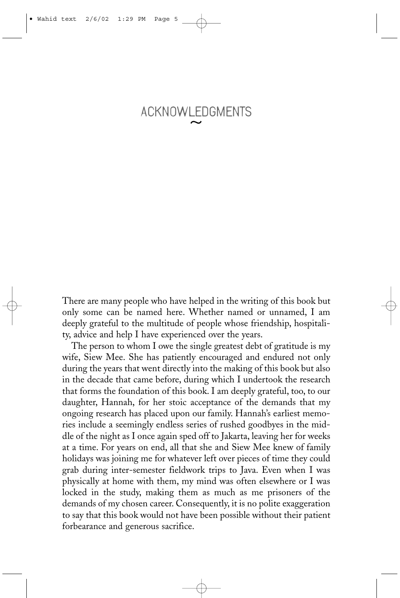## ACKNOWLEDGMENTS

There are many people who have helped in the writing of this book but only some can be named here. Whether named or unnamed, I am deeply grateful to the multitude of people whose friendship, hospitality, advice and help I have experienced over the years.

The person to whom I owe the single greatest debt of gratitude is my wife, Siew Mee. She has patiently encouraged and endured not only during the years that went directly into the making of this book but also in the decade that came before, during which I undertook the research that forms the foundation of this book. I am deeply grateful, too, to our daughter, Hannah, for her stoic acceptance of the demands that my ongoing research has placed upon our family. Hannah's earliest memories include a seemingly endless series of rushed goodbyes in the middle of the night as I once again sped off to Jakarta, leaving her for weeks at a time. For years on end, all that she and Siew Mee knew of family holidays was joining me for whatever left over pieces of time they could grab during inter-semester fieldwork trips to Java. Even when I was physically at home with them, my mind was often elsewhere or I was locked in the study, making them as much as me prisoners of the demands of my chosen career. Consequently, it is no polite exaggeration to say that this book would not have been possible without their patient forbearance and generous sacrifice.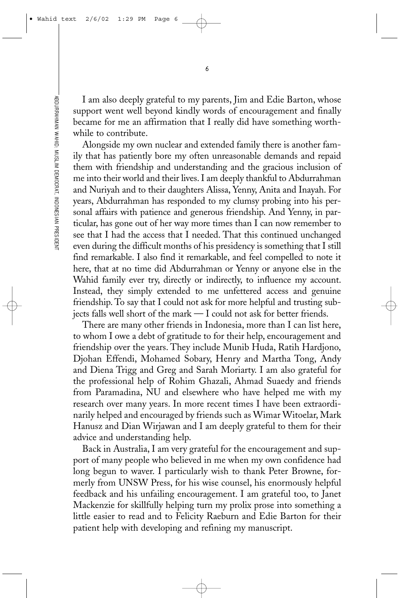I am also deeply grateful to my parents, Jim and Edie Barton, whose support went well beyond kindly words of encouragement and finally became for me an affirmation that I really did have something worthwhile to contribute.

Alongside my own nuclear and extended family there is another family that has patiently bore my often unreasonable demands and repaid them with friendship and understanding and the gracious inclusion of me into their world and their lives. I am deeply thankful to Abdurrahman and Nuriyah and to their daughters Alissa, Yenny, Anita and Inayah. For years, Abdurrahman has responded to my clumsy probing into his personal affairs with patience and generous friendship. And Yenny, in particular, has gone out of her way more times than I can now remember to see that I had the access that I needed. That this continued unchanged even during the difficult months of his presidency is something that I still find remarkable. I also find it remarkable, and feel compelled to note it here, that at no time did Abdurrahman or Yenny or anyone else in the Wahid family ever try, directly or indirectly, to influence my account. Instead, they simply extended to me unfettered access and genuine friendship. To say that I could not ask for more helpful and trusting subjects falls well short of the mark — I could not ask for better friends.

There are many other friends in Indonesia, more than I can list here, to whom I owe a debt of gratitude to for their help, encouragement and friendship over the years. They include Munib Huda, Ratih Hardjono, Djohan Effendi, Mohamed Sobary, Henry and Martha Tong, Andy and Diena Trigg and Greg and Sarah Moriarty. I am also grateful for the professional help of Rohim Ghazali, Ahmad Suaedy and friends from Paramadina, NU and elsewhere who have helped me with my research over many years. In more recent times I have been extraordinarily helped and encouraged by friends such as Wimar Witoelar, Mark Hanusz and Dian Wirjawan and I am deeply grateful to them for their advice and understanding help.

Back in Australia, I am very grateful for the encouragement and support of many people who believed in me when my own confidence had long begun to waver. I particularly wish to thank Peter Browne, formerly from UNSW Press, for his wise counsel, his enormously helpful feedback and his unfailing encouragement. I am grateful too, to Janet Mackenzie for skillfully helping turn my prolix prose into something a little easier to read and to Felicity Raeburn and Edie Barton for their patient help with developing and refining my manuscript.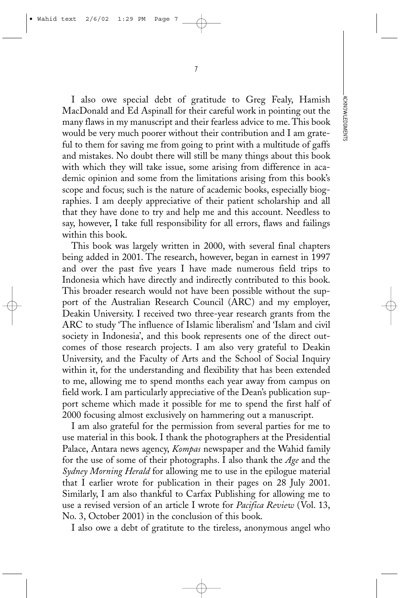I also owe special debt of gratitude to Greg Fealy, Hamish MacDonald and Ed Aspinall for their careful work in pointing out the many flaws in my manuscript and their fearless advice to me. This book would be very much poorer without their contribution and I am grateful to them for saving me from going to print with a multitude of gaffs and mistakes. No doubt there will still be many things about this book with which they will take issue, some arising from difference in academic opinion and some from the limitations arising from this book's scope and focus; such is the nature of academic books, especially biographies. I am deeply appreciative of their patient scholarship and all that they have done to try and help me and this account. Needless to say, however, I take full responsibility for all errors, flaws and failings within this book.

This book was largely written in 2000, with several final chapters being added in 2001. The research, however, began in earnest in 1997 and over the past five years I have made numerous field trips to Indonesia which have directly and indirectly contributed to this book. This broader research would not have been possible without the support of the Australian Research Council (ARC) and my employer, Deakin University. I received two three-year research grants from the ARC to study 'The influence of Islamic liberalism' and 'Islam and civil society in Indonesia', and this book represents one of the direct outcomes of those research projects. I am also very grateful to Deakin University, and the Faculty of Arts and the School of Social Inquiry within it, for the understanding and flexibility that has been extended to me, allowing me to spend months each year away from campus on field work. I am particularly appreciative of the Dean's publication support scheme which made it possible for me to spend the first half of 2000 focusing almost exclusively on hammering out a manuscript.

I am also grateful for the permission from several parties for me to use material in this book. I thank the photographers at the Presidential Palace, Antara news agency, *Kompas* newspaper and the Wahid family for the use of some of their photographs. I also thank the *Age* and the *Sydney Morning Herald* for allowing me to use in the epilogue material that I earlier wrote for publication in their pages on 28 July 2001. Similarly, I am also thankful to Carfax Publishing for allowing me to use a revised version of an article I wrote for *Pacifica Review* (Vol. 13, No. 3, October 2001) in the conclusion of this book.

I also owe a debt of gratitute to the tireless, anonymous angel who